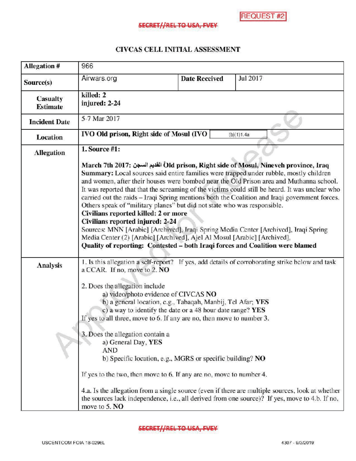**REQUEST #2** 

## **SECRET//REL TO USA, FVEY**

## CIVCAS CELL INITIAL ASSESSMENT

| <b>Allegation #</b>         | 966                                                                                                                                                                                                                                                                                                                                                                                                                                                                                                                                                                                                                                                                                                                                                                                                |                                                           |                                                                                                                                                                                                    |  |
|-----------------------------|----------------------------------------------------------------------------------------------------------------------------------------------------------------------------------------------------------------------------------------------------------------------------------------------------------------------------------------------------------------------------------------------------------------------------------------------------------------------------------------------------------------------------------------------------------------------------------------------------------------------------------------------------------------------------------------------------------------------------------------------------------------------------------------------------|-----------------------------------------------------------|----------------------------------------------------------------------------------------------------------------------------------------------------------------------------------------------------|--|
| Source(s)                   | Airwars.org                                                                                                                                                                                                                                                                                                                                                                                                                                                                                                                                                                                                                                                                                                                                                                                        | <b>Date Reccived</b>                                      | Jul 2017                                                                                                                                                                                           |  |
| Casualty<br><b>Estimate</b> | killed: 2<br>injured: 2-24                                                                                                                                                                                                                                                                                                                                                                                                                                                                                                                                                                                                                                                                                                                                                                         |                                                           |                                                                                                                                                                                                    |  |
| <b>Incident Date</b>        | 5-7 Mar 2017                                                                                                                                                                                                                                                                                                                                                                                                                                                                                                                                                                                                                                                                                                                                                                                       |                                                           |                                                                                                                                                                                                    |  |
| <b>Location</b>             | IVO Old prison, Right side of Mosul (IVO<br>(b)(1)1.4a                                                                                                                                                                                                                                                                                                                                                                                                                                                                                                                                                                                                                                                                                                                                             |                                                           |                                                                                                                                                                                                    |  |
| <b>Allegation</b>           | 1. Source #1:                                                                                                                                                                                                                                                                                                                                                                                                                                                                                                                                                                                                                                                                                                                                                                                      |                                                           |                                                                                                                                                                                                    |  |
|                             | Summary: Local sources said entire families were trapped under rubble, mostly children<br>and women, after their houses were bombed near the Old Prison area and Muthanna school.<br>It was reported that that the screaming of the victims could still be heard. It was unclear who<br>carried out the raids – Iraqi Spring mentions both the Coalition and Iraqi government forces.<br>Others speak of "military planes" but did not state who was responsible.<br>Civilians reported killed: 2 or more<br>Civilians reported injured: 2-24<br>Sources: MNN [Arabic] [Archived], Iraqi Spring Media Center [Archived], Iraqi Spring<br>Media Center (2) [Arabic] [Archived], Ajel Al Mosul [Arabic] [Archived],<br>Quality of reporting: Contested - both Iraqi forces and Coalition were blamed |                                                           |                                                                                                                                                                                                    |  |
| Analysis                    | 1. Is this allegation a self-report? If yes, add details of corroborating strike below and task<br>a CCAR. If no, move to 2. NO                                                                                                                                                                                                                                                                                                                                                                                                                                                                                                                                                                                                                                                                    |                                                           |                                                                                                                                                                                                    |  |
|                             | 2. Does the allegation include                                                                                                                                                                                                                                                                                                                                                                                                                                                                                                                                                                                                                                                                                                                                                                     |                                                           |                                                                                                                                                                                                    |  |
|                             | a) video/photo evidence of CIVCAS NO                                                                                                                                                                                                                                                                                                                                                                                                                                                                                                                                                                                                                                                                                                                                                               |                                                           |                                                                                                                                                                                                    |  |
|                             | b) a general location, e.g., Tabaqah, Manbij, Tel Afar; YES                                                                                                                                                                                                                                                                                                                                                                                                                                                                                                                                                                                                                                                                                                                                        |                                                           |                                                                                                                                                                                                    |  |
|                             | c) a way to identify the date or a 48 hour date range? YES                                                                                                                                                                                                                                                                                                                                                                                                                                                                                                                                                                                                                                                                                                                                         |                                                           |                                                                                                                                                                                                    |  |
|                             | If yes to all three, move to 6. If any are no, then move to number 3.                                                                                                                                                                                                                                                                                                                                                                                                                                                                                                                                                                                                                                                                                                                              |                                                           |                                                                                                                                                                                                    |  |
|                             | 3. Does the allegation contain a                                                                                                                                                                                                                                                                                                                                                                                                                                                                                                                                                                                                                                                                                                                                                                   |                                                           |                                                                                                                                                                                                    |  |
|                             | a) General Day, YES                                                                                                                                                                                                                                                                                                                                                                                                                                                                                                                                                                                                                                                                                                                                                                                |                                                           |                                                                                                                                                                                                    |  |
|                             | <b>AND</b>                                                                                                                                                                                                                                                                                                                                                                                                                                                                                                                                                                                                                                                                                                                                                                                         |                                                           |                                                                                                                                                                                                    |  |
|                             |                                                                                                                                                                                                                                                                                                                                                                                                                                                                                                                                                                                                                                                                                                                                                                                                    | b) Specific location, e.g., MGRS or specific building? NO |                                                                                                                                                                                                    |  |
|                             | If yes to the two, then move to 6. If any are no, move to number 4.                                                                                                                                                                                                                                                                                                                                                                                                                                                                                                                                                                                                                                                                                                                                |                                                           |                                                                                                                                                                                                    |  |
|                             | move to 5. NO                                                                                                                                                                                                                                                                                                                                                                                                                                                                                                                                                                                                                                                                                                                                                                                      |                                                           | 4.a. Is the allegation from a single source (even if there are multiple sources, look at whether<br>the sources lack independence, i.e., all derived from one source)? If yes, move to 4.b. If no, |  |

SECRET//REL TO USA, FVEY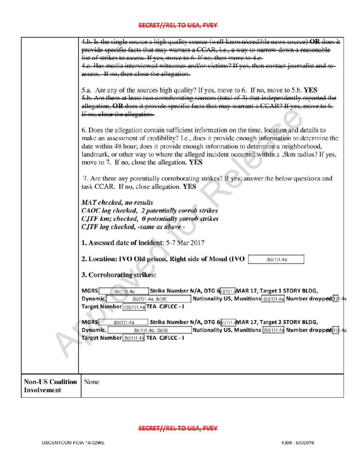## SECRET//REL TO USA, FVEY

|                         | 4.b. Is the single source a high quality source (well-known/credible news source) OR does it                                                                                                                                                                                                                                                                                                                                     |
|-------------------------|----------------------------------------------------------------------------------------------------------------------------------------------------------------------------------------------------------------------------------------------------------------------------------------------------------------------------------------------------------------------------------------------------------------------------------|
|                         | provide specific facts that may warrant a CCAR, i.e., a way to narrow down a reasonable                                                                                                                                                                                                                                                                                                                                          |
|                         | list of strikes to assess. If yes, move to 6. If no, then move to 4.e.<br>. Has media interviewed witnesses and/or victims? If yes, then contact journalist and re                                                                                                                                                                                                                                                               |
|                         |                                                                                                                                                                                                                                                                                                                                                                                                                                  |
|                         | assess. If no, then close the allegation.                                                                                                                                                                                                                                                                                                                                                                                        |
|                         | 5.a. Are any of the sources high quality? If yes, move to 6. If no, move to 5.b. YES<br>5.b. Are there at least two corroborating sources (total of 3) that independently reported the<br>allegation, OR does it provide specific facts that may warrant a CCAR? If yes, move to 6.<br>If no, close the allegation.                                                                                                              |
|                         | 6. Does the allegation contain sufficient information on the time, location and details to<br>make an assessment of credibility? I.e., does it provide enough information to determine the<br>date within 48 hour; does it provide enough information to determine a neighborhood,<br>landmark, or other way to where the alleged incident occurred within a .5km radius? If yes,<br>move to 7. If no, close the allegation. YES |
|                         | 7. Are there any potentially corroborating strikes? If yes, answer the below questions and<br>task CCAR. If no, close allegation. YES                                                                                                                                                                                                                                                                                            |
|                         | MAT checked, no results<br>CAOC log checked, 2 potentially corrob strikes<br>CJTF kmz checked, 0 potentially corrob strikes<br>CJTF log checked, -same as above -                                                                                                                                                                                                                                                                |
|                         | 1. Assessed date of incident: 5-7 Mar 2017                                                                                                                                                                                                                                                                                                                                                                                       |
|                         | 2. Location: IVO Old prison, Right side of Mosul (IVO<br>(b)(1)1.4a                                                                                                                                                                                                                                                                                                                                                              |
|                         | 3. Corroborating strikes:                                                                                                                                                                                                                                                                                                                                                                                                        |
|                         | Strike Number N/A, DTG 6b)(1)1.4MAR 17, Target 1 STORY BLDG,<br>MGRS<br>(b)(1)1.4a<br>Dynamic,<br>(b)(1)1.4a, (b)(6)<br>Nationality US, Munitions (b)(1)1.4a Number dropped(1)1.4a<br>Target Number (b)(1)1.4a TEA CJFLCC - I                                                                                                                                                                                                    |
|                         | <b>MGRS</b><br>Strike Number N/A, DTG 6b)(1)1.4MAR 17, Target 2 STORY BLDG,<br>(b)(1)1.4a<br>Nationality US, Munitions (b)(1)1.4a Number dropped 1)<br>Dynamic,<br>(b)(1)1.4a, (b)(6)<br>Target Number (b)(1)1.4a TEA CJFLCC - I                                                                                                                                                                                                 |
| <b>Non-US Coalition</b> | None                                                                                                                                                                                                                                                                                                                                                                                                                             |
| <b>Involvement</b>      |                                                                                                                                                                                                                                                                                                                                                                                                                                  |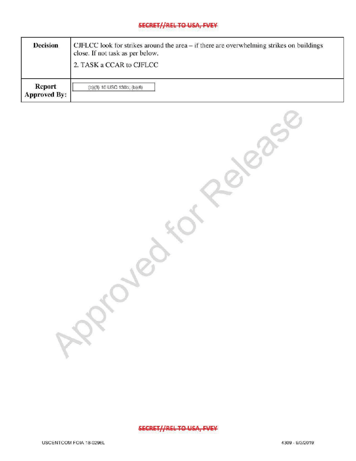## SECRET//REL TO USA, FVEY

| Decision                      | CJFLCC look for strikes around the area – if there are overwhelming strikes on buildings<br>close. If not task as per below.<br>2. TASK a CCAR to CJFLCC |  |
|-------------------------------|----------------------------------------------------------------------------------------------------------------------------------------------------------|--|
| Report<br><b>Approved By:</b> | $(b)(3)$ 10 USC 1305; $(b)(6)$                                                                                                                           |  |

SECRET//REL TO USA, FVEY

 $Q^2$ 

France Rele